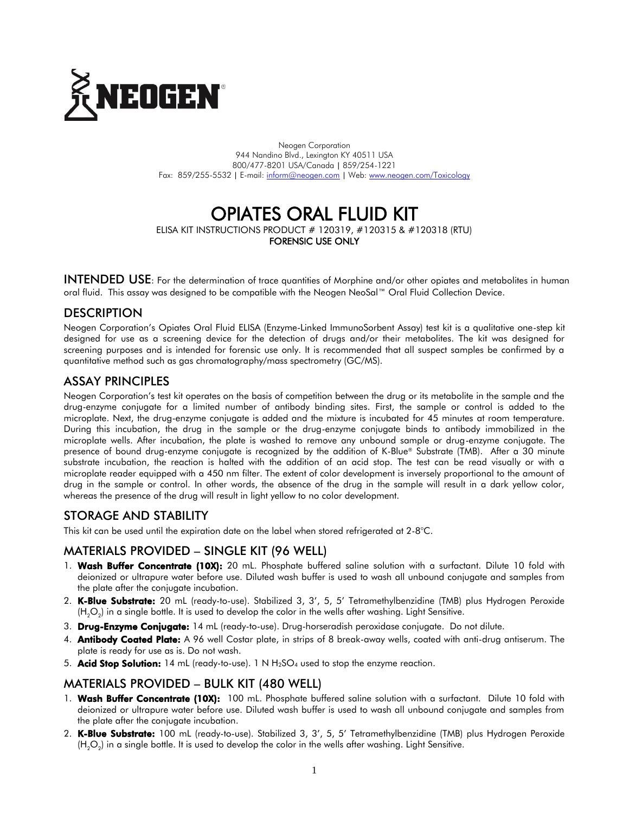

Neogen Corporation 944 Nandino Blvd., Lexington KY 40511 USA 800/477-8201 USA/Canada | 859/254-1221 Fax: 859/255-5532 | E-mail[: inform@neogen.com](mailto:inform@neogen.com) | Web[: www.neogen.com/Toxicology](http://www.neogen.com/Toxicology)

# OPIATES ORAL FLUID KIT

ELISA KIT INSTRUCTIONS PRODUCT # 120319, #120315 & #120318 (RTU) FORENSIC USE ONLY

INTENDED USE: For the determination of trace quantities of Morphine and/or other opiates and metabolites in human oral fluid. This assay was designed to be compatible with the Neogen NeoSal™ Oral Fluid Collection Device.

# **DESCRIPTION**

Neogen Corporation's Opiates Oral Fluid ELISA (Enzyme-Linked ImmunoSorbent Assay) test kit is a qualitative one-step kit designed for use as a screening device for the detection of drugs and/or their metabolites. The kit was designed for screening purposes and is intended for forensic use only. It is recommended that all suspect samples be confirmed by a quantitative method such as gas chromatography/mass spectrometry (GC/MS).

## ASSAY PRINCIPLES

Neogen Corporation's test kit operates on the basis of competition between the drug or its metabolite in the sample and the drug-enzyme conjugate for a limited number of antibody binding sites. First, the sample or control is added to the microplate. Next, the drug-enzyme conjugate is added and the mixture is incubated for 45 minutes at room temperature. During this incubation, the drug in the sample or the drug-enzyme conjugate binds to antibody immobilized in the microplate wells. After incubation, the plate is washed to remove any unbound sample or drug-enzyme conjugate. The presence of bound drug-enzyme conjugate is recognized by the addition of K-Blue® Substrate (TMB). After a 30 minute substrate incubation, the reaction is halted with the addition of an acid stop. The test can be read visually or with a microplate reader equipped with a 450 nm filter. The extent of color development is inversely proportional to the amount of drug in the sample or control. In other words, the absence of the drug in the sample will result in a dark yellow color, whereas the presence of the drug will result in light yellow to no color development.

# STORAGE AND STABILITY

This kit can be used until the expiration date on the label when stored refrigerated at 2-8°C.

#### MATERIALS PROVIDED – SINGLE KIT (96 WELL)

- 1. Wash Buffer Concentrate (10X): 20 mL. Phosphate buffered saline solution with a surfactant. Dilute 10 fold with deionized or ultrapure water before use. Diluted wash buffer is used to wash all unbound conjugate and samples from the plate after the conjugate incubation.
- 2. K-Blue Substrate: 20 mL (ready-to-use). Stabilized 3, 3', 5, 5' Tetramethylbenzidine (TMB) plus Hydrogen Peroxide (H $_{2} \rm{O}_{2}$ ) in a single bottle. It is used to develop the color in the wells after washing. Light Sensitive.
- 3. Drug-Enzyme Conjugate: 14 mL (ready-to-use). Drug-horseradish peroxidase conjugate. Do not dilute.
- 4. **Antibody Coated Plate:** A 96 well Costar plate, in strips of 8 break-away wells, coated with anti-drug antiserum. The plate is ready for use as is. Do not wash.
- 5. **Acid Stop Solution:** 14 mL (ready-to-use). 1 N  $H_2SO_4$  used to stop the enzyme reaction.

## MATERIALS PROVIDED – BULK KIT (480 WELL)

- 1. Wash Buffer Concentrate (10X): 100 mL. Phosphate buffered saline solution with a surfactant. Dilute 10 fold with deionized or ultrapure water before use. Diluted wash buffer is used to wash all unbound conjugate and samples from the plate after the conjugate incubation.
- 2. K-Blue Substrate: 100 mL (ready-to-use). Stabilized 3, 3', 5, 5' Tetramethylbenzidine (TMB) plus Hydrogen Peroxide (H $_{2} \rm O_{2}$ ) in a single bottle. It is used to develop the color in the wells after washing. Light Sensitive.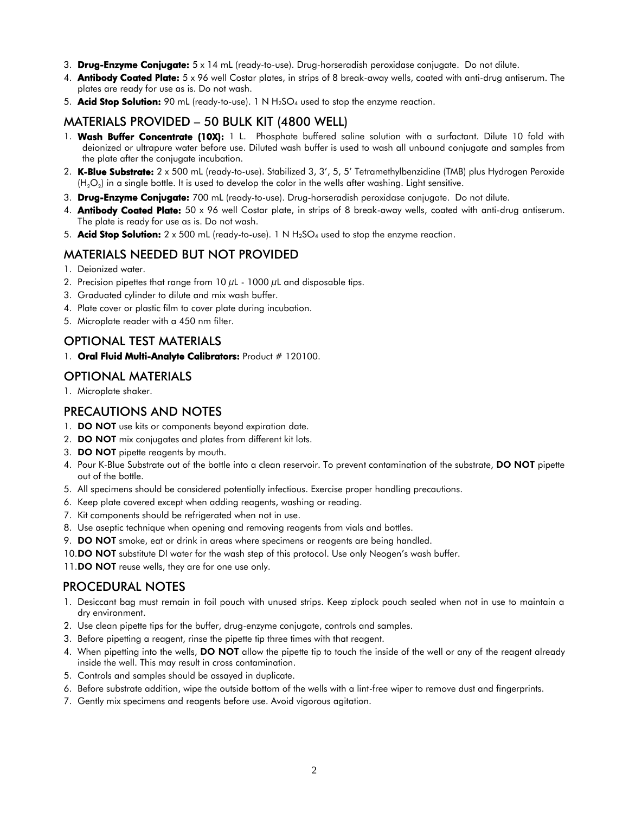- 3. Drug-Enzyme Conjugate:  $5 \times 14$  mL (ready-to-use). Drug-horseradish peroxidase conjugate. Do not dilute.
- 4. **Antibody Coated Plate:** 5 x 96 well Costar plates, in strips of 8 break-away wells, coated with anti-drug antiserum. The plates are ready for use as is. Do not wash.
- 5. Acid Stop Solution: 90 mL (ready-to-use). 1 N  $H_2SO_4$  used to stop the enzyme reaction.

# MATERIALS PROVIDED – 50 BULK KIT (4800 WELL)

- 1. Wash Buffer Concentrate (10X): 1 L. Phosphate buffered saline solution with a surfactant. Dilute 10 fold with deionized or ultrapure water before use. Diluted wash buffer is used to wash all unbound conjugate and samples from the plate after the conjugate incubation.
- 2. K-Blue Substrate: 2 x 500 mL (ready-to-use). Stabilized 3, 3', 5, 5' Tetramethylbenzidine (TMB) plus Hydrogen Peroxide (H $_{2} \rm{O}_{2}$ ) in a single bottle. It is used to develop the color in the wells after washing. Light sensitive.
- 3. Drug-Enzyme Conjugate: 700 mL (ready-to-use). Drug-horseradish peroxidase conjugate. Do not dilute.
- 4. **Antibody Coated Plate:** 50 x 96 well Costar plate, in strips of 8 break-away wells, coated with anti-drug antiserum. The plate is ready for use as is. Do not wash.
- 5. **Acid Stop Solution:**  $2 \times 500$  mL (ready-to-use). 1 N H<sub>2</sub>SO<sub>4</sub> used to stop the enzyme reaction.

#### MATERIALS NEEDED BUT NOT PROVIDED

- 1. Deionized water.
- 2. Precision pipettes that range from  $10 \mu$ L  $1000 \mu$ L and disposable tips.
- 3. Graduated cylinder to dilute and mix wash buffer.
- 4. Plate cover or plastic film to cover plate during incubation.
- 5. Microplate reader with a 450 nm filter.

#### OPTIONAL TEST MATERIALS

1. Oral Fluid Multi-Analyte Calibrators: Product # 120100.

#### OPTIONAL MATERIALS

1. Microplate shaker.

## PRECAUTIONS AND NOTES

- 1. **DO NOT** use kits or components beyond expiration date.
- 2. DO NOT mix conjugates and plates from different kit lots.
- 3. DO NOT pipette reagents by mouth.
- 4. Pour K-Blue Substrate out of the bottle into a clean reservoir. To prevent contamination of the substrate, DO NOT pipette out of the bottle.
- 5. All specimens should be considered potentially infectious. Exercise proper handling precautions.
- 6. Keep plate covered except when adding reagents, washing or reading.
- 7. Kit components should be refrigerated when not in use.
- 8. Use aseptic technique when opening and removing reagents from vials and bottles.
- 9. DO NOT smoke, eat or drink in areas where specimens or reagents are being handled.
- 10.DO NOT substitute DI water for the wash step of this protocol. Use only Neogen's wash buffer.
- 11.**DO NOT** reuse wells, they are for one use only.

#### PROCEDURAL NOTES

- 1. Desiccant bag must remain in foil pouch with unused strips. Keep ziplock pouch sealed when not in use to maintain a dry environment.
- 2. Use clean pipette tips for the buffer, drug-enzyme conjugate, controls and samples.
- 3. Before pipetting a reagent, rinse the pipette tip three times with that reagent.
- 4. When pipetting into the wells, DO NOT allow the pipette tip to touch the inside of the well or any of the reagent already inside the well. This may result in cross contamination.
- 5. Controls and samples should be assayed in duplicate.
- 6. Before substrate addition, wipe the outside bottom of the wells with a lint-free wiper to remove dust and fingerprints.
- 7. Gently mix specimens and reagents before use. Avoid vigorous agitation.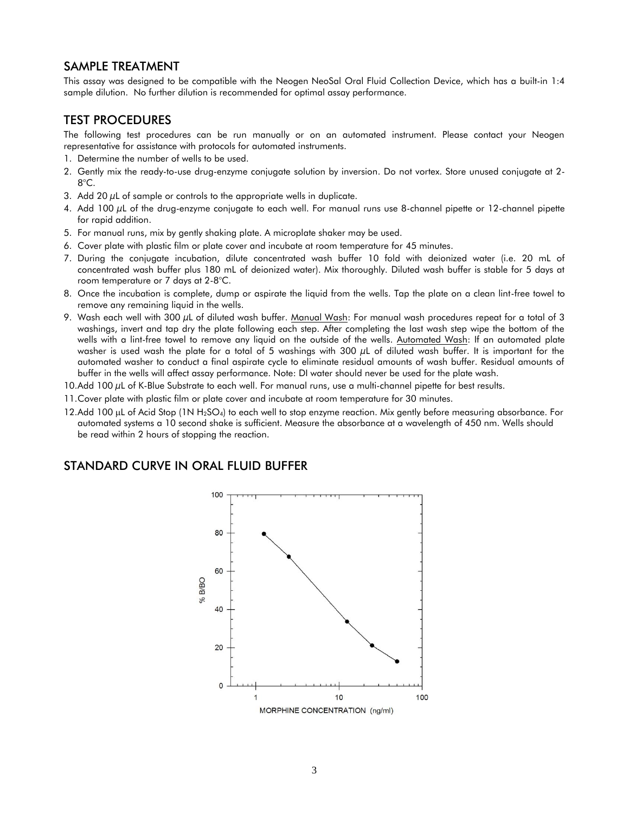## SAMPLE TREATMENT

This assay was designed to be compatible with the Neogen NeoSal Oral Fluid Collection Device, which has a built-in 1:4 sample dilution. No further dilution is recommended for optimal assay performance.

# TEST PROCEDURES

The following test procedures can be run manually or on an automated instrument. Please contact your Neogen representative for assistance with protocols for automated instruments.

- 1. Determine the number of wells to be used.
- 2. Gently mix the ready-to-use drug-enzyme conjugate solution by inversion. Do not vortex. Store unused conjugate at 2- 8°C.
- 3. Add 20  $\mu$ L of sample or controls to the appropriate wells in duplicate.
- 4. Add 100 µL of the drug-enzyme conjugate to each well. For manual runs use 8-channel pipette or 12-channel pipette for rapid addition.
- 5. For manual runs, mix by gently shaking plate. A microplate shaker may be used.
- 6. Cover plate with plastic film or plate cover and incubate at room temperature for 45 minutes.
- 7. During the conjugate incubation, dilute concentrated wash buffer 10 fold with deionized water (i.e. 20 mL of concentrated wash buffer plus 180 mL of deionized water). Mix thoroughly. Diluted wash buffer is stable for 5 days at room temperature or 7 days at 2-8°C.
- 8. Once the incubation is complete, dump or aspirate the liquid from the wells. Tap the plate on a clean lint-free towel to remove any remaining liquid in the wells.
- 9. Wash each well with 300  $\mu$ L of diluted wash buffer. Manual Wash: For manual wash procedures repeat for a total of 3 washings, invert and tap dry the plate following each step. After completing the last wash step wipe the bottom of the wells with a lint-free towel to remove any liquid on the outside of the wells. Automated Wash: If an automated plate washer is used wash the plate for a total of 5 washings with 300 µL of diluted wash buffer. It is important for the automated washer to conduct a final aspirate cycle to eliminate residual amounts of wash buffer. Residual amounts of buffer in the wells will affect assay performance. Note: DI water should never be used for the plate wash.
- 10.Add 100 µL of K-Blue Substrate to each well. For manual runs, use a multi-channel pipette for best results.
- 11.Cover plate with plastic film or plate cover and incubate at room temperature for 30 minutes.
- 12.Add 100  $\mu$ L of Acid Stop (1N H<sub>2</sub>SO<sub>4</sub>) to each well to stop enzyme reaction. Mix gently before measuring absorbance. For automated systems a 10 second shake is sufficient. Measure the absorbance at a wavelength of 450 nm. Wells should be read within 2 hours of stopping the reaction.

# STANDARD CURVE IN ORAL FLUID BUFFER

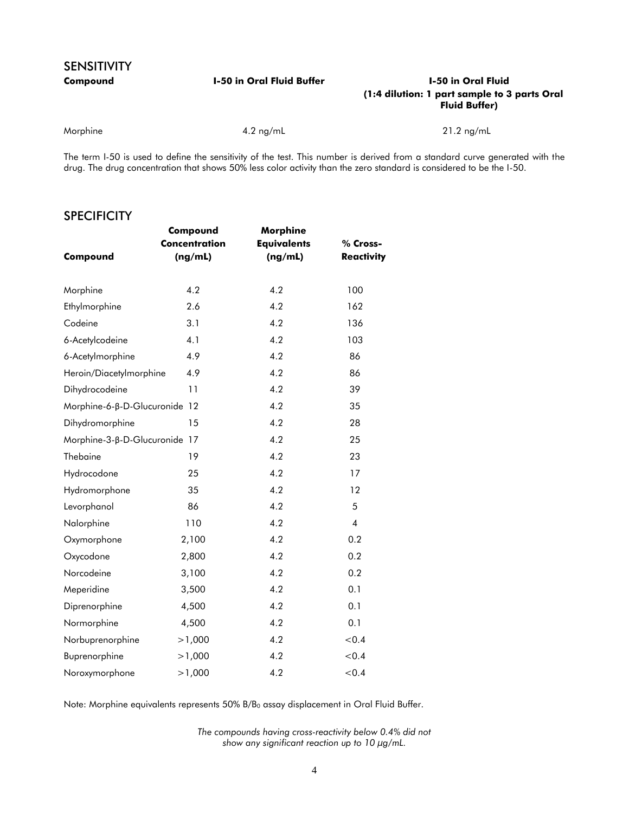# SENSITIVITY

#### **Compound I-50 in Oral Fluid Buffer I-50 in Oral Fluid (1:4 dilution: 1 part sample to 3 parts Oral Fluid Buffer)**

Morphine **4.2 ng/mL** 4.2 ng/mL 21.2 ng/mL 21.2 ng/mL

The term I-50 is used to define the sensitivity of the test. This number is derived from a standard curve generated with the drug. The drug concentration that shows 50% less color activity than the zero standard is considered to be the I-50.

#### **SPECIFICITY**

|                               | Compound             | Morphine           |                   |
|-------------------------------|----------------------|--------------------|-------------------|
|                               | <b>Concentration</b> | <b>Equivalents</b> | % Cross-          |
| Compound                      | (ng/mL)              | (ng/mL)            | <b>Reactivity</b> |
|                               |                      |                    |                   |
| Morphine                      | 4.2                  | 4.2                | 100               |
| Ethylmorphine                 | 2.6                  | 4.2                | 162               |
| Codeine                       | 3.1                  | 4.2                | 136               |
| 6-Acetylcodeine               | 4.1                  | 4.2                | 103               |
| 6-Acetylmorphine              | 4.9                  | 4.2                | 86                |
| Heroin/Diacetylmorphine       | 4.9                  | 4.2                | 86                |
| Dihydrocodeine                | 11                   | 4.2                | 39                |
| Morphine-6-β-D-Glucuronide 12 |                      | 4.2                | 35                |
| Dihydromorphine               | 15                   | 4.2                | 28                |
| Morphine-3-β-D-Glucuronide 17 |                      | 4.2                | 25                |
| Thebaine                      | 19                   | 4.2                | 23                |
| Hydrocodone                   | 25                   | 4.2                | 17                |
| Hydromorphone                 | 35                   | 4.2                | 12                |
| Levorphanol                   | 86                   | 4.2                | 5                 |
| Nalorphine                    | 110                  | 4.2                | $\overline{4}$    |
| Oxymorphone                   | 2,100                | 4.2                | 0.2               |
| Oxycodone                     | 2,800                | 4.2                | 0.2               |
| Norcodeine                    | 3,100                | 4.2                | 0.2               |
| Meperidine                    | 3,500                | 4.2                | 0.1               |
| Diprenorphine                 | 4,500                | 4.2                | 0.1               |
| Normorphine                   | 4,500                | 4.2                | 0.1               |
| Norbuprenorphine              | >1,000               | 4.2                | < 0.4             |
| Buprenorphine                 | >1,000               | 4.2                | < 0.4             |
| Noroxymorphone                | >1,000               | 4.2                | < 0.4             |

Note: Morphine equivalents represents 50% B/B<sub>0</sub> assay displacement in Oral Fluid Buffer.

*The compounds having cross-reactivity below 0.4% did not show any significant reaction up to 10 µg/mL.*